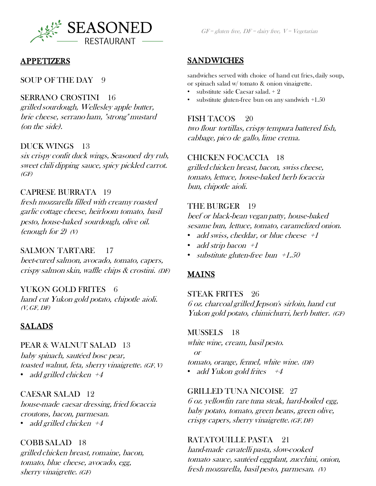

## APPETIZERS

## SOUP OF THE DAY 9

### SERRANO CROSTINI 16

grilled sourdough, Wellesley apple butter, brie cheese, serrano ham, "strong" mustard (on the side).

### DUCK WINGS 13

six crispy confit duck wings, Seasoned dry rub, sweet chili dipping sauce, spicy pickled carrot.  $(GF)$ 

## CAPRESE BURRATA 19

fresh mozzarella filled with creamy roasted garlic cottage cheese, heirloom tomato, basil pesto, house-baked sourdough, olive oil. (enough for  $2)$  (V)

#### SALMON TARTARE 17

beet-cured salmon, avocado, tomato, capers, crispy salmon skin, waffle chips & crostini. (DF)

#### YUKON GOLD FRITES 6

hand cut Yukon gold potato, chipotle aioli.  $(V, GF, DF)$ 

## SALADS

### PEAR & WALNUT SALAD 13

baby spinach, sautéed bosc pear, toasted walnut, feta, sherry vinaigrette. (GF, V) • add grilled chicken  $+4$ 

## CAESAR SALAD 12

house-made caesar dressing, fried focaccia croutons, bacon, parmesan. • add grilled chicken  $+4$ 

#### COBB SALAD 18

grilled chicken breast, romaine, bacon, tomato, blue cheese, avocado, egg, sherry vinaigrette. (GF)

## SANDWICHES

sandwiches served with choice of hand cut fries, daily soup, or spinach salad w/ tomato & onion vinaigrette.

- substitute side Caesar salad. + 2
- substitute gluten-free bun on any sandwich +1.50

#### FISH TACOS 20

two flour tortillas, crispy tempura battered fish, cabbage, pico de gallo, lime crema.

#### CHICKEN FOCACCIA 18

grilled chicken breast, bacon, swiss cheese, tomato, lettuce, house-baked herb focaccia bun, chipotle aioli.

#### THE BURGER 19

beef or black-bean vegan patty, house-baked sesame bun, lettuce, tomato, caramelized onion.

- add swiss, cheddar, or blue cheese  $+1$
- add strip bacon  $+1$
- substitute gluten-free bun  $+1.50$

## MAINS

## STEAK FRITES 26 6 oz. charcoal grilled Jepson's sirloin, hand cut Yukon gold potato, chimichurri, herb butter. (GF)

#### MUSSELS 18

white wine, cream, basil pesto. or tomato, orange, fennel, white wine. (DF) • add Yukon gold frites  $+4$ 

#### GRILLED TUNA NICOISE 27

6 oz. yellowfin rare tuna steak, hard-boiled egg, baby potato, tomato, green beans, green olive, crispy capers, sherry vinaigrette. (GF, DF)

## RATATOUILLE PASTA 21

hand-made cavatelli pasta, slow-cooked tomato sauce, sautéed eggplant, zucchini, onion, fresh mozzarella, basil pesto, parmesan. (V)